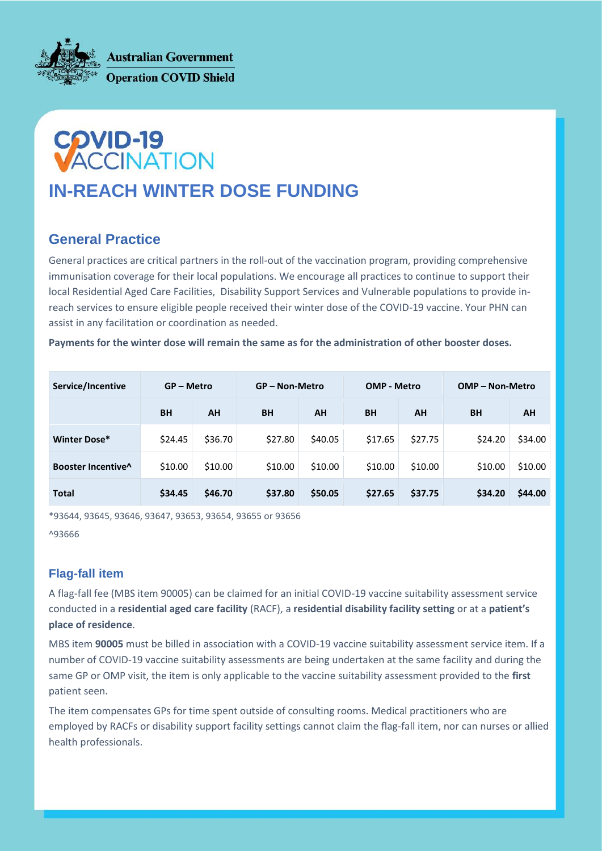**Australian Government Operation COVID Shield** 

**COVID-19<br>VACCINATION** 

# **IN-REACH WINTER DOSE FUNDING**

## **General Practice**

General practices are critical partners in the roll-out of the vaccination program, providing comprehensive immunisation coverage for their local populations. We encourage all practices to continue to support their local Residential Aged Care Facilities, Disability Support Services and Vulnerable populations to provide inreach services to ensure eligible people received their winter dose of the COVID-19 vaccine. Your PHN can assist in any facilitation or coordination as needed.

**Payments for the winter dose will remain the same as for the administration of other booster doses.**

| Service/Incentive              | GP – Metro |         | <b>GP-Non-Metro</b> |         | <b>OMP - Metro</b> |           | <b>OMP-Non-Metro</b> |         |
|--------------------------------|------------|---------|---------------------|---------|--------------------|-----------|----------------------|---------|
|                                | <b>BH</b>  | AH      | <b>BH</b>           | AH      | <b>BH</b>          | <b>AH</b> | <b>BH</b>            | AH      |
| Winter Dose*                   | \$24.45    | \$36.70 | \$27.80             | \$40.05 | \$17.65            | \$27.75   | \$24.20              | \$34.00 |
| Booster Incentive <sup>^</sup> | \$10.00    | \$10.00 | \$10.00             | \$10.00 | \$10.00            | \$10.00   | \$10.00              | \$10.00 |
| <b>Total</b>                   | \$34.45    | \$46.70 | \$37.80             | \$50.05 | \$27.65            | \$37.75   | \$34.20              | \$44.00 |

\*93644, 93645, 93646, 93647, 93653, 93654, 93655 or 93656

^93666

## **Flag-fall item**

A flag-fall fee (MBS item 90005) can be claimed for an initial COVID-19 vaccine suitability assessment service conducted in a **residential aged care facility** (RACF), a **residential disability facility setting** or at a **patient's place of residence**.

MBS item **90005** must be billed in association with a COVID-19 vaccine suitability assessment service item. If a number of COVID-19 vaccine suitability assessments are being undertaken at the same facility and during the same GP or OMP visit, the item is only applicable to the vaccine suitability assessment provided to the **first**  patient seen.

The item compensates GPs for time spent outside of consulting rooms. Medical practitioners who are employed by RACFs or disability support facility settings cannot claim the flag-fall item, nor can nurses or allied health professionals.